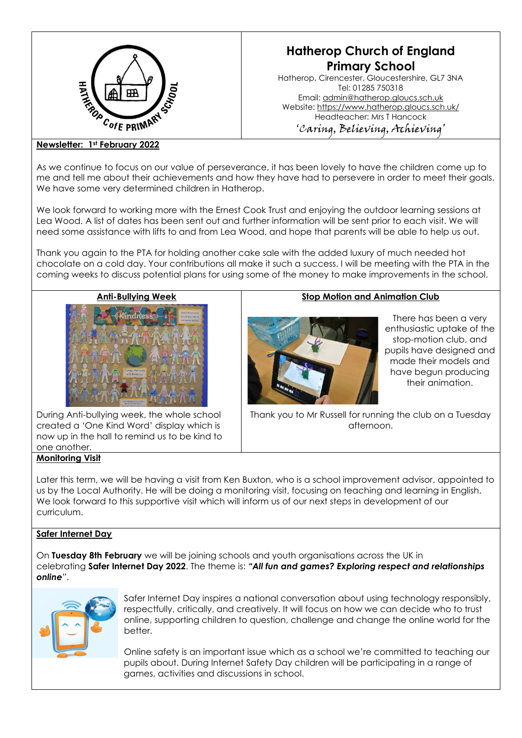

# **Hatherop Church of England Primary School**

Hatherop, Cirencester, Gloucestershire, GL7 3NA Tel: 01285 750318 Email: [admin@hatherop.gloucs.sch.uk](mailto:admin@hatherop.gloucs.sch.uk) Website:<https://www.hatherop.gloucs.sch.uk/> Headteacher: Mrs T Hancock 'Caring, Believing, Achieving'

### **Newsletter: 1st February 2022**

As we continue to focus on our value of perseverance, it has been lovely to have the children come up to me and tell me about their achievements and how they have had to persevere in order to meet their goals. We have some very determined children in Hatherop.

We look forward to working more with the Ernest Cook Trust and enjoying the outdoor learning sessions at Lea Wood. A list of dates has been sent out and further information will be sent prior to each visit. We will need some assistance with lifts to and from Lea Wood, and hope that parents will be able to help us out.

Thank you again to the PTA for holding another cake sale with the added luxury of much needed hot chocolate on a cold day. Your contributions all make it such a success. I will be meeting with the PTA in the coming weeks to discuss potential plans for using some of the money to make improvements in the school.



During Anti-bullying week, the whole school created a 'One Kind Word' display which is now up in the hall to remind us to be kind to one another.

# **Monitoring Visit**

# **Stop Motion and Animation Club**



There has been a very enthusiastic uptake of the stop-motion club, and pupils have designed and made their models and have begun producing their animation.

Thank you to Mr Russell for running the club on a Tuesday afternoon.

Later this term, we will be having a visit from Ken Buxton, who is a school improvement advisor, appointed to us by the Local Authority. He will be doing a monitoring visit, focusing on teaching and learning in English. We look forward to this supportive visit which will inform us of our next steps in development of our curriculum.

# **Safer Internet Day**

On **Tuesday 8th February** we will be joining schools and youth organisations across the UK in celebrating **Safer Internet Day 2022**. The theme is: *"All fun and games? Exploring respect and relationships online*".



Safer Internet Day inspires a national conversation about using technology responsibly, respectfully, critically, and creatively. It will focus on how we can decide who to trust online, supporting children to question, challenge and change the online world for the better.

Online safety is an important issue which as a school we're committed to teaching our pupils about. During Internet Safety Day children will be participating in a range of games, activities and discussions in school.